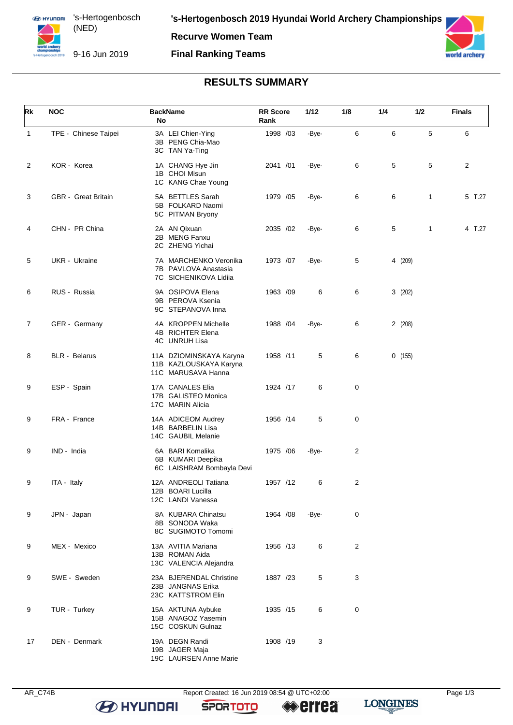**Recurve Women Team**

## **Final Ranking Teams**



# **RESULTS SUMMARY**

| Rk             | <b>NOC</b>                 | <b>BackName</b><br>No                                                   | <b>RR</b> Score<br>Rank | 1/12  | 1/8 | 1/4 | 1/2          | <b>Finals</b> |
|----------------|----------------------------|-------------------------------------------------------------------------|-------------------------|-------|-----|-----|--------------|---------------|
| $\mathbf{1}$   | TPE - Chinese Taipei       | 3A LEI Chien-Ying<br>3B PENG Chia-Mao<br>3C TAN Ya-Ting                 | 1998 /03                | -Bye- | 6   | 6   | 5            | 6             |
| 2              | KOR - Korea                | 1A CHANG Hye Jin<br>1B CHOI Misun<br>1C KANG Chae Young                 | 2041 /01                | -Bye- | 6   | 5   | 5            | 2             |
| 3              | <b>GBR</b> - Great Britain | 5A BETTLES Sarah<br>5B FOLKARD Naomi<br>5C PITMAN Bryony                | 1979 /05                | -Bye- | 6   | 6   | $\mathbf{1}$ | 5 T.27        |
| 4              | CHN - PR China             | 2A AN Qixuan<br>2B MENG Fanxu<br>2C ZHENG Yichai                        | 2035 /02                | -Bye- | 6   | 5   | $\mathbf{1}$ | 4 T.27        |
| 5              | UKR - Ukraine              | 7A MARCHENKO Veronika<br>7B PAVLOVA Anastasia<br>7C SICHENIKOVA Lidiia  | 1973 /07                | -Bye- | 5   |     | 4 (209)      |               |
| 6              | RUS - Russia               | 9A OSIPOVA Elena<br>9B PEROVA Ksenia<br>9C STEPANOVA Inna               | 1963 /09                | 6     | 6   |     | 3(202)       |               |
| $\overline{7}$ | GER - Germany              | 4A KROPPEN Michelle<br>4B RICHTER Elena<br>4C UNRUH Lisa                | 1988 / 04               | -Bye- | 6   |     | 2(208)       |               |
| 8              | <b>BLR</b> - Belarus       | 11A DZIOMINSKAYA Karyna<br>11B KAZLOUSKAYA Karyna<br>11C MARUSAVA Hanna | 1958 /11                | 5     | 6   |     | 0(155)       |               |
| 9              | ESP - Spain                | 17A CANALES Elia<br>17B GALISTEO Monica<br>17C MARIN Alicia             | 1924 /17                | 6     | 0   |     |              |               |
| 9              | FRA - France               | 14A ADICEOM Audrey<br>14B BARBELIN Lisa<br>14C GAUBIL Melanie           | 1956 /14                | 5     | 0   |     |              |               |
| 9              | IND - India                | 6A BARI Komalika<br>6B KUMARI Deepika<br>6C LAISHRAM Bombayla Devi      | 1975 /06                | -Bye- | 2   |     |              |               |
| 9              | ITA - Italy                | 12A ANDREOLI Tatiana<br>12B BOARI Lucilla<br>12C LANDI Vanessa          | 1957 /12                | 6     | 2   |     |              |               |
| 9              | JPN - Japan                | 8A KUBARA Chinatsu<br>8B SONODA Waka<br>8C SUGIMOTO Tomomi              | 1964 / 08               | -Bye- | 0   |     |              |               |
| 9              | MEX - Mexico               | 13A AVITIA Mariana<br>13B ROMAN Aida<br>13C VALENCIA Alejandra          | 1956 /13                | 6     | 2   |     |              |               |
| 9              | SWE - Sweden               | 23A BJERENDAL Christine<br>23B JANGNAS Erika<br>23C KATTSTROM Elin      | 1887 /23                | 5     | 3   |     |              |               |
| 9              | TUR - Turkey               | 15A AKTUNA Aybuke<br>15B ANAGOZ Yasemin<br>15C COSKUN Gulnaz            | 1935 /15                | 6     | 0   |     |              |               |
| 17             | DEN - Denmark              | 19A DEGN Randi<br>19B JAGER Maja<br>19C LAURSEN Anne Marie              | 1908 /19                | 3     |     |     |              |               |

**B** HYUNDAI

**SPORTOTO** 

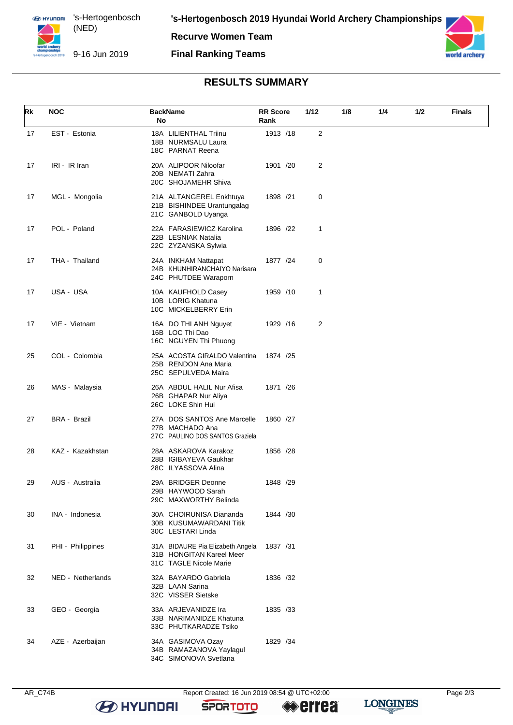**Recurve Women Team**

#### **Final Ranking Teams**



## **RESULTS SUMMARY**

| Rk | <b>NOC</b>          | <b>BackName</b><br>No                                                                  | <b>RR</b> Score<br>Rank | 1/12           | 1/8 | 1/4 | 1/2 | Finals |
|----|---------------------|----------------------------------------------------------------------------------------|-------------------------|----------------|-----|-----|-----|--------|
| 17 | EST - Estonia       | 18A LILIENTHAL Triinu<br>18B NURMSALU Laura<br>18C PARNAT Reena                        | 1913 /18                | 2              |     |     |     |        |
| 17 | IRI - IR Iran       | 20A ALIPOOR Niloofar<br>20B NEMATI Zahra<br>20C SHOJAMEHR Shiva                        | 1901 /20                | 2              |     |     |     |        |
| 17 | MGL - Mongolia      | 21A ALTANGEREL Enkhtuya<br>21B BISHINDEE Urantungalag<br>21C GANBOLD Uyanga            | 1898 /21                | 0              |     |     |     |        |
| 17 | POL - Poland        | 22A FARASIEWICZ Karolina<br>22B LESNIAK Natalia<br>22C ZYZANSKA Sylwia                 | 1896 /22                | 1              |     |     |     |        |
| 17 | THA - Thailand      | 24A INKHAM Nattapat<br>24B KHUNHIRANCHAIYO Narisara<br>24C PHUTDEE Waraporn            | 1877 /24                | 0              |     |     |     |        |
| 17 | USA - USA           | 10A KAUFHOLD Casey<br>10B LORIG Khatuna<br>10C MICKELBERRY Erin                        | 1959 /10                | 1              |     |     |     |        |
| 17 | VIE - Vietnam       | 16A DO THI ANH Nguyet<br>16B LOC Thi Dao<br>16C NGUYEN Thi Phuong                      | 1929 /16                | $\overline{2}$ |     |     |     |        |
| 25 | COL - Colombia      | 25A ACOSTA GIRALDO Valentina<br>25B RENDON Ana Maria<br>25C SEPULVEDA Maira            | 1874 /25                |                |     |     |     |        |
| 26 | MAS - Malaysia      | 26A ABDUL HALIL Nur Afisa<br>26B GHAPAR Nur Aliya<br>26C LOKE Shin Hui                 | 1871 /26                |                |     |     |     |        |
| 27 | <b>BRA - Brazil</b> | 27A DOS SANTOS Ane Marcelle<br>27B MACHADO Ana<br>27C PAULINO DOS SANTOS Graziela      | 1860 /27                |                |     |     |     |        |
| 28 | KAZ - Kazakhstan    | 28A ASKAROVA Karakoz<br>28B IGIBAYEVA Gaukhar<br>28C ILYASSOVA Alina                   | 1856 /28                |                |     |     |     |        |
| 29 | AUS - Australia     | 29A BRIDGER Deonne<br>29B HAYWOOD Sarah<br>29C MAXWORTHY Belinda                       | 1848 /29                |                |     |     |     |        |
| 30 | INA - Indonesia     | 30A CHOIRUNISA Diananda<br>30B KUSUMAWARDANI Titik<br>30C LESTARI Linda                | 1844 /30                |                |     |     |     |        |
| 31 | PHI - Philippines   | 31A BIDAURE Pia Elizabeth Angela<br>31B HONGITAN Kareel Meer<br>31C TAGLE Nicole Marie | 1837 /31                |                |     |     |     |        |
| 32 | NED - Netherlands   | 32A BAYARDO Gabriela<br>32B LAAN Sarina<br>32C VISSER Sietske                          | 1836 /32                |                |     |     |     |        |
| 33 | GEO - Georgia       | 33A ARJEVANIDZE Ira<br>33B NARIMANIDZE Khatuna<br>33C PHUTKARADZE Tsiko                | 1835 /33                |                |     |     |     |        |
| 34 | AZE - Azerbaijan    | 34A GASIMOVA Ozay<br>34B RAMAZANOVA Yaylagul<br>34C SIMONOVA Svetlana                  | 1829 /34                |                |     |     |     |        |

AR\_C74B Report Created: 16 Jun 2019 08:54 @ UTC+02:00 Page 2/3

**SPORTOTO** 

**errea** 

**LONGINES**